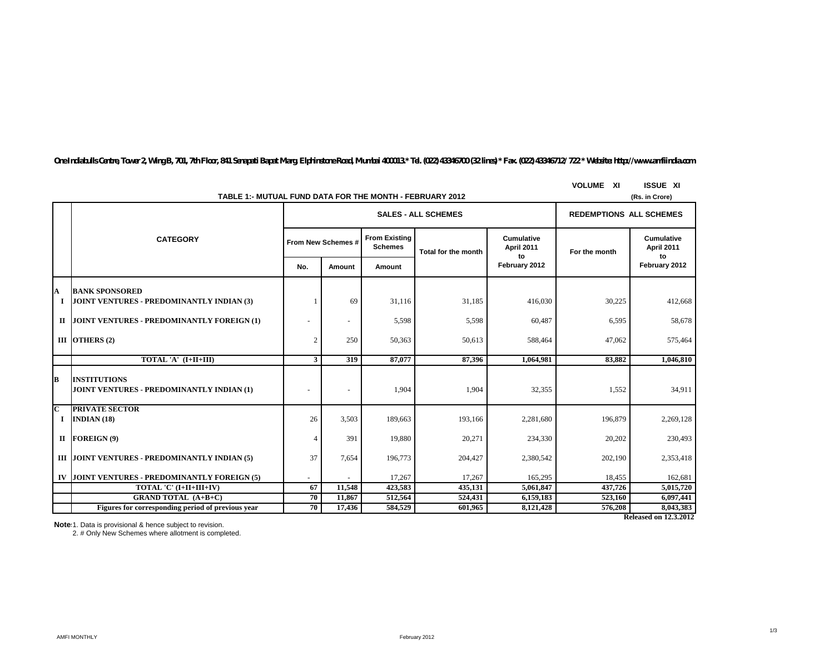*One Indiabulls Centre, Tower 2, Wing B, 701, 7th Floor, 841 Senapati Bapat Marg, Elphinstone Road, Mumbai 400013.\* Tel. (022) 43346700 (32 lines) \* Fax. (022) 43346712/ 722 \* Website: http://www.amfiindia.com*

|                  |                                                                         |                | TABLE 1:- MUTUAL FUND DATA FOR THE MONTH - FEBRUARY 2012 |                                        |                            |                                       |               | (Rs. in Crore)                        |  |  |
|------------------|-------------------------------------------------------------------------|----------------|----------------------------------------------------------|----------------------------------------|----------------------------|---------------------------------------|---------------|---------------------------------------|--|--|
|                  |                                                                         |                | <b>SALES - ALL SCHEMES</b>                               |                                        |                            |                                       |               | <b>REDEMPTIONS ALL SCHEMES</b>        |  |  |
|                  | <b>CATEGORY</b>                                                         |                | From New Schemes #                                       | <b>From Existing</b><br><b>Schemes</b> | <b>Total for the month</b> | <b>Cumulative</b><br>April 2011<br>to | For the month | <b>Cumulative</b><br>April 2011<br>to |  |  |
|                  |                                                                         | No.            | Amount                                                   | Amount                                 |                            | February 2012                         |               | February 2012                         |  |  |
| A<br>1           | <b>BANK SPONSORED</b><br>JOINT VENTURES - PREDOMINANTLY INDIAN (3)      |                | 69                                                       | 31,116                                 | 31,185                     | 416,030                               | 30,225        | 412,668                               |  |  |
|                  | II JOINT VENTURES - PREDOMINANTLY FOREIGN (1)                           |                | $\sim$                                                   | 5,598                                  | 5,598                      | 60,487                                | 6,595         | 58,678                                |  |  |
|                  | III OTHERS $(2)$                                                        | $\overline{c}$ | 250                                                      | 50,363                                 | 50,613                     | 588,464                               | 47,062        | 575,464                               |  |  |
|                  | TOTAL 'A' (I+II+III)                                                    | 3              | 319                                                      | 87,077                                 | 87.396                     | 1,064,981                             | 83,882        | 1,046,810                             |  |  |
| В                | <b>INSTITUTIONS</b><br><b>JOINT VENTURES - PREDOMINANTLY INDIAN (1)</b> |                | $\overline{\phantom{a}}$                                 | 1,904                                  | 1,904                      | 32,355                                | 1,552         | 34,911                                |  |  |
| C<br>$\mathbf I$ | <b>PRIVATE SECTOR</b><br>INDIAN $(18)$                                  | 26             | 3,503                                                    | 189,663                                | 193,166                    | 2,281,680                             | 196,879       | 2,269,128                             |  |  |
| п                | FOREIGN (9)                                                             | $\overline{4}$ | 391                                                      | 19,880                                 | 20,271                     | 234,330                               | 20,202        | 230,493                               |  |  |
|                  | III JOINT VENTURES - PREDOMINANTLY INDIAN (5)                           | 37             | 7,654                                                    | 196,773                                | 204,427                    | 2,380,542                             | 202,190       | 2,353,418                             |  |  |
| IV               | JOINT VENTURES - PREDOMINANTLY FOREIGN (5)                              |                |                                                          | 17,267                                 | 17,267                     | 165,295                               | 18,455        | 162,681                               |  |  |
|                  | TOTAL 'C' (I+II+III+IV)                                                 | 67             | 11,548                                                   | 423,583                                | 435.131                    | 5.061.847                             | 437,726       | 5,015,720                             |  |  |
|                  | <b>GRAND TOTAL (A+B+C)</b>                                              | 70             | 11,867                                                   | 512,564                                | 524,431                    | 6,159,183                             | 523,160       | 6,097,441                             |  |  |
|                  | Figures for corresponding period of previous year                       | 70             | 17,436                                                   | 584,529                                | 601.965                    | 8,121,428                             | 576,208       | 8,043,383                             |  |  |
|                  |                                                                         |                |                                                          |                                        |                            |                                       |               | <b>Released on 12.3.2012</b>          |  |  |

**VOLUME XI ISSUE XI**

**Notes:**1. Data is provisional & hence subject to revision.

2. # Only New Schemes where allotment is completed.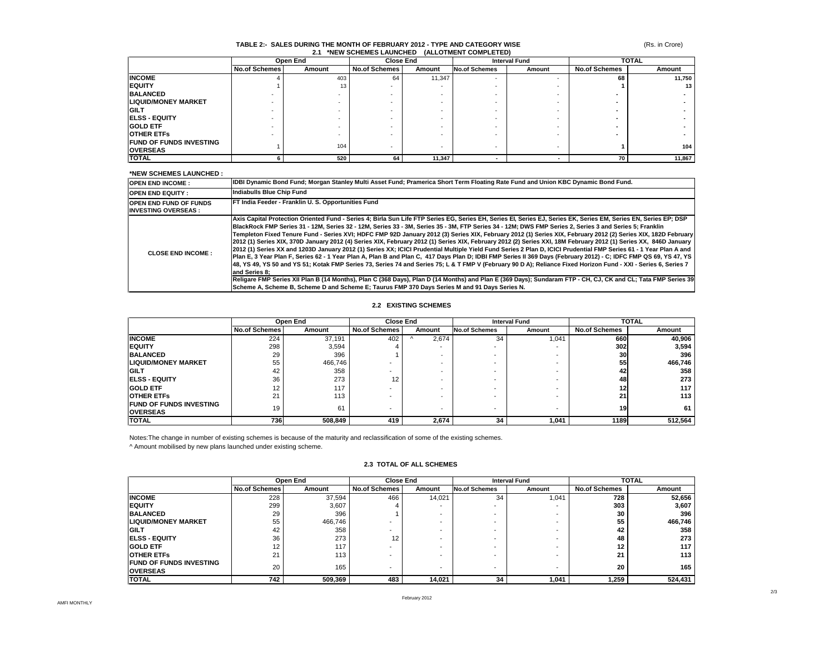### (Rs. in Crore)

### **TABLE 2:- SALES DURING THE MONTH OF FEBRUARY 2012 - TYPE AND CATEGORY WISE 2.1 \*NEW SCHEMES LAUNCHED (ALLOTMENT COMPLETED)**

|                                | Open End      |        | <b>Close End</b>     |        | <b>Interval Fund</b>     |        | <b>TOTAL</b>         |                 |
|--------------------------------|---------------|--------|----------------------|--------|--------------------------|--------|----------------------|-----------------|
|                                | No.of Schemes | Amount | <b>No.of Schemes</b> | Amount | <b>No.of Schemes</b>     | Amount | <b>No.of Schemes</b> | Amount          |
| <b>INCOME</b>                  |               | 403    | 64                   | 11,347 | $\overline{\phantom{a}}$ |        | 68                   | 11,750          |
| <b>IEQUITY</b>                 |               | 13     |                      |        |                          |        |                      | 13 <sup>1</sup> |
| <b>BALANCED</b>                |               |        |                      | -      |                          |        |                      |                 |
| <b>LIQUID/MONEY MARKET</b>     |               |        |                      | -      |                          |        |                      |                 |
| <b>IGILT</b>                   |               |        |                      | -      |                          |        |                      |                 |
| <b>ELSS - EQUITY</b>           |               |        |                      |        |                          |        |                      |                 |
| <b>IGOLD ETF</b>               |               |        |                      |        |                          |        |                      |                 |
| <b>OTHER ETFS</b>              |               |        |                      |        |                          |        |                      |                 |
| <b>FUND OF FUNDS INVESTING</b> |               |        |                      |        |                          |        |                      |                 |
| <b>OVERSEAS</b>                |               | 104    |                      | -      | $\overline{\phantom{a}}$ |        |                      | 104             |
| <b>TOTAL</b>                   |               | 520    | 64                   | 11,347 |                          |        | 70                   | 11,867          |

### **\*NEW SCHEMES LAUNCHED :**

| <b>OPEN END INCOME:</b>                                     | IDBI Dynamic Bond Fund; Morgan Stanley Multi Asset Fund; Pramerica Short Term Floating Rate Fund and Union KBC Dynamic Bond Fund.                                                                                                                                                                                                                                                                                                                                                                                                                                                                                                                                                                                                                                                                                                                                                                                                                                                                                                                                                                                                                                                                                                                                                                                                                                                                                                                              |
|-------------------------------------------------------------|----------------------------------------------------------------------------------------------------------------------------------------------------------------------------------------------------------------------------------------------------------------------------------------------------------------------------------------------------------------------------------------------------------------------------------------------------------------------------------------------------------------------------------------------------------------------------------------------------------------------------------------------------------------------------------------------------------------------------------------------------------------------------------------------------------------------------------------------------------------------------------------------------------------------------------------------------------------------------------------------------------------------------------------------------------------------------------------------------------------------------------------------------------------------------------------------------------------------------------------------------------------------------------------------------------------------------------------------------------------------------------------------------------------------------------------------------------------|
| <b>IOPEN END EQUITY:</b>                                    | Indiabulls Blue Chip Fund                                                                                                                                                                                                                                                                                                                                                                                                                                                                                                                                                                                                                                                                                                                                                                                                                                                                                                                                                                                                                                                                                                                                                                                                                                                                                                                                                                                                                                      |
| <b>OPEN END FUND OF FUNDS</b><br><b>INVESTING OVERSEAS:</b> | FT India Feeder - Franklin U. S. Opportunities Fund                                                                                                                                                                                                                                                                                                                                                                                                                                                                                                                                                                                                                                                                                                                                                                                                                                                                                                                                                                                                                                                                                                                                                                                                                                                                                                                                                                                                            |
| <b>CLOSE END INCOME:</b>                                    | Axis Capital Protection Oriented Fund - Series 4; Birla Sun Life FTP Series EG, Series EH, Series EJ, Series EJ, Series EK, Series EM, Series EN, Series EP; DSP<br>BlackRock FMP Series 31 - 12M. Series 32 - 12M. Series 33 - 3M. Series 35 - 3M. FTP Series 34 - 12M: DWS FMP Series 2. Series 3 and Series 5: Franklin<br>Templeton Fixed Tenure Fund - Series XVI; HDFC FMP 92D January 2012 (3) Series XIX, February 2012 (1) Series XIX, February 2012 (2) Series XIX, 182D February<br>2012 (1) Series XIX. 370D January 2012 (4) Series XIX. February 2012 (1) Series XIX. February 2012 (2) Series XXI. 18M February 2012 (1) Series XX. 846D January<br>2012 (1) Series XX and 1203D January 2012 (1) Series XX; ICICI Prudential Multiple Yield Fund Series 2 Plan D, ICICI Prudential FMP Series 61 - 1 Year Plan A and<br>Plan E, 3 Year Plan F, Series 62 - 1 Year Plan A, Plan B and Plan C, 417 Days Plan D; IDBI FMP Series II 369 Days (February 2012) - C; IDFC FMP QS 69, YS 47, YS<br>48, YS 49, YS 50 and YS 51; Kotak FMP Series 73, Series 74 and Series 75; L & T FMP V (February 90 D A); Reliance Fixed Horizon Fund - XXI - Series 6, Series 7<br>and Series 8:<br>Religare FMP Series XII Plan B (14 Months), Plan C (368 Days), Plan D (14 Months) and Plan E (369 Days); Sundaram FTP - CH, CJ, CK and CL; Tata FMP Series 39<br>Scheme A, Scheme B, Scheme D and Scheme E; Taurus FMP 370 Days Series M and 91 Days Series N. |

### **2.2 EXISTING SCHEMES**

|                                 | Open End             |         | <b>Close End</b>     |        | <b>Interval Fund</b>     |        |                      | <b>TOTAL</b> |
|---------------------------------|----------------------|---------|----------------------|--------|--------------------------|--------|----------------------|--------------|
|                                 | <b>No.of Schemes</b> | Amount  | <b>No.of Schemes</b> | Amount | <b>No.of Schemes</b>     | Amount | <b>No.of Schemes</b> | Amount       |
| <b>INCOME</b>                   | 224                  | 37.191  | 402                  | 2,674  | 34                       | 1,041  | 660                  | 40,906       |
| <b>IEQUITY</b>                  | 298                  | 3.594   |                      |        | $\overline{\phantom{0}}$ |        | <b>3021</b>          | 3,594        |
| <b>BALANCED</b>                 | 29                   | 396     |                      |        |                          |        | 30                   | 396          |
| <b>LIQUID/MONEY MARKET</b>      | 55                   | 466.746 |                      |        |                          |        | 55                   | 466,746      |
| <b>GILT</b>                     | 42                   | 358     |                      |        |                          |        | 42                   | 358          |
| <b>IELSS - EQUITY</b>           | 36                   | 273     | 12                   |        |                          |        | 48                   | 273          |
| <b>GOLD ETF</b>                 | 12                   | 117     |                      |        |                          |        | 12 <sup>1</sup>      | 117          |
| <b>OTHER ETFS</b>               | 21                   | 113     |                      |        |                          |        | 21                   | 113          |
| <b>IFUND OF FUNDS INVESTING</b> | 19                   | 61      |                      | -      |                          |        | 19                   | 61           |
| <b>OVERSEAS</b>                 |                      |         |                      |        | $\overline{\phantom{0}}$ |        |                      |              |
| <b>TOTAL</b>                    | 736                  | 508,849 | 419                  | 2,674  | 34                       | 1,041  | 1189                 | 512,564      |

Notes:The change in number of existing schemes is because of the maturity and reclassification of some of the existing schemes.

^ Amount mobilised by new plans launched under existing scheme.

# **2.3 TOTAL OF ALL SCHEMES**

|                                                    | Open End             |         | <b>Close End</b> |        |                      | <b>TOTAL</b><br><b>Interval Fund</b> |                      |         |
|----------------------------------------------------|----------------------|---------|------------------|--------|----------------------|--------------------------------------|----------------------|---------|
|                                                    | <b>No.of Schemes</b> | Amount  | No.of Schemes    | Amount | <b>No.of Schemes</b> | Amount                               | <b>No.of Schemes</b> | Amount  |
| <b>INCOME</b>                                      | 228                  | 37,594  | 466              | 14,021 | 34                   | 1,041                                | 728                  | 52,656  |
| <b>IEQUITY</b>                                     | 299                  | 3,607   |                  |        |                      |                                      | 303                  | 3,607   |
| <b>BALANCED</b>                                    | 29                   | 396     |                  |        |                      |                                      | 30                   | 396     |
| <b>LIQUID/MONEY MARKET</b>                         | 55                   | 466,746 |                  |        |                      |                                      | 55                   | 466,746 |
| <b>IGILT</b>                                       | 42                   | 358     | -                |        |                      |                                      | 42                   | 358     |
| <b>IELSS - EQUITY</b>                              | 36                   | 273     | 12               |        |                      |                                      | 48                   | 273     |
| <b>GOLD ETF</b>                                    | 12                   | 117     |                  |        |                      |                                      | 12                   | 117     |
| <b>OTHER ETFS</b>                                  | 21                   | 113     |                  |        |                      |                                      | 21                   | 113     |
| <b>IFUND OF FUNDS INVESTING</b><br><b>OVERSEAS</b> | 20                   | 165     | -                |        |                      |                                      | 20                   | 165     |
| <b>TOTAL</b>                                       | 742                  | 509,369 | 483              | 14,021 | 34                   | 1,041                                | 1,259                | 524,431 |